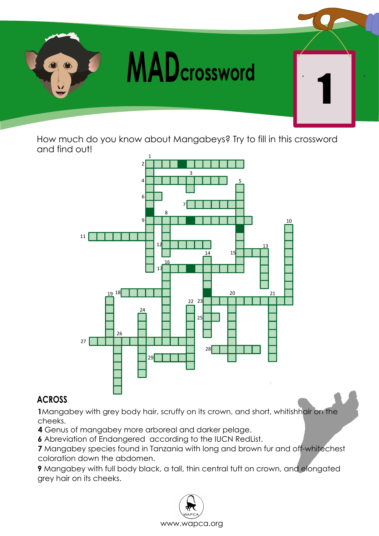

How much do you know about Mangabeys? Try to fill in this crossword and find out!



## **ACROSS**

Mangabey with grey body hair, scruffy on its crown, and short, whitishhair on the cheeks.

Genus of mangabey more arboreal and darker pelage.

Abreviation of Endangered according to the IUCN RedList.

 Mangabey species found in Tanzania with long and brown fur and off-whitechest coloration down the abdomen.

Mangabey with full body black, a tall, thin central tuft on crown, and elongated grey hair on its cheeks.